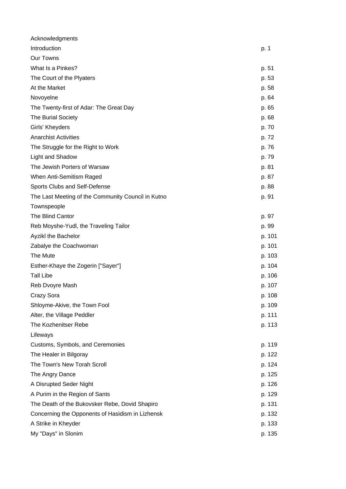| Acknowledgments                                    |        |
|----------------------------------------------------|--------|
| Introduction                                       | p. 1   |
| Our Towns                                          |        |
| What Is a Pinkes?                                  | p. 51  |
| The Court of the Plyaters                          | p. 53  |
| At the Market                                      | p. 58  |
| Novoyelne                                          | p. 64  |
| The Twenty-first of Adar: The Great Day            | p. 65  |
| <b>The Burial Society</b>                          | p. 68  |
| Girls' Kheyders                                    | p. 70  |
| <b>Anarchist Activities</b>                        | p. 72  |
| The Struggle for the Right to Work                 | p. 76  |
| Light and Shadow                                   | p. 79  |
| The Jewish Porters of Warsaw                       | p. 81  |
| When Anti-Semitism Raged                           | p. 87  |
| Sports Clubs and Self-Defense                      | p. 88  |
| The Last Meeting of the Community Council in Kutno | p. 91  |
| Townspeople                                        |        |
| The Blind Cantor                                   | p. 97  |
| Reb Moyshe-Yudl, the Traveling Tailor              | p. 99  |
| Ayzikl the Bachelor                                | p. 101 |
| Zabalye the Coachwoman                             | p. 101 |
| The Mute                                           | p. 103 |
| Esther-Khaye the Zogerin ["Sayer"]                 | p. 104 |
| <b>Tall Libe</b>                                   | p. 106 |
| Reb Dvoyre Mash                                    | p. 107 |
| Crazy Sora                                         | p. 108 |
| Shloyme-Akive, the Town Fool                       | p. 109 |
| Alter, the Village Peddler                         | p. 111 |
| The Kozhenitser Rebe                               | p. 113 |
| Lifeways                                           |        |
| Customs, Symbols, and Ceremonies                   | p. 119 |
| The Healer in Bilgoray                             | p. 122 |
| The Town's New Torah Scroll                        | p. 124 |
| The Angry Dance                                    | p. 125 |
| A Disrupted Seder Night                            | p. 126 |
| A Purim in the Region of Sants                     | p. 129 |
| The Death of the Bukovsker Rebe, Dovid Shapiro     | p. 131 |
| Concerning the Opponents of Hasidism in Lizhensk   | p. 132 |
| A Strike in Kheyder                                | p. 133 |
| My "Days" in Slonim                                | p. 135 |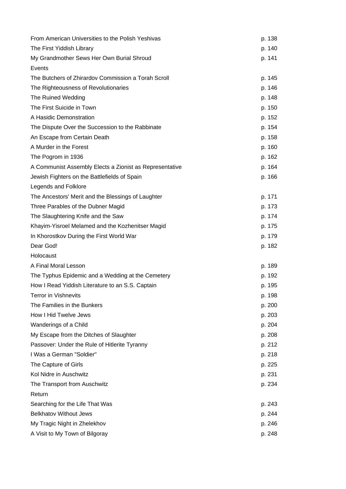| From American Universities to the Polish Yeshivas       | p. 138 |
|---------------------------------------------------------|--------|
| The First Yiddish Library                               | p. 140 |
| My Grandmother Sews Her Own Burial Shroud               | p. 141 |
| Events                                                  |        |
| The Butchers of Zhirardov Commission a Torah Scroll     | p. 145 |
| The Righteousness of Revolutionaries                    | p. 146 |
| The Ruined Wedding                                      | p. 148 |
| The First Suicide in Town                               | p. 150 |
| A Hasidic Demonstration                                 | p. 152 |
| The Dispute Over the Succession to the Rabbinate        | p. 154 |
| An Escape from Certain Death                            | p. 158 |
| A Murder in the Forest                                  | p. 160 |
| The Pogrom in 1936                                      | p. 162 |
| A Communist Assembly Elects a Zionist as Representative | p. 164 |
| Jewish Fighters on the Battlefields of Spain            | p. 166 |
| Legends and Folklore                                    |        |
| The Ancestors' Merit and the Blessings of Laughter      | p. 171 |
| Three Parables of the Dubner Magid                      | p. 173 |
| The Slaughtering Knife and the Saw                      | p. 174 |
| Khayim-Yisroel Melamed and the Kozhenitser Magid        | p. 175 |
| In Khorostkov During the First World War                | p. 179 |
| Dear God!                                               | p. 182 |
| Holocaust                                               |        |
| A Final Moral Lesson                                    | p. 189 |
| The Typhus Epidemic and a Wedding at the Cemetery       | p. 192 |
| How I Read Yiddish Literature to an S.S. Captain        | p. 195 |
| Terror in Vishnevits                                    | p. 198 |
| The Families in the Bunkers                             | p. 200 |
| How I Hid Twelve Jews                                   | p. 203 |
| Wanderings of a Child                                   | p. 204 |
| My Escape from the Ditches of Slaughter                 | p. 208 |
| Passover: Under the Rule of Hitlerite Tyranny           | p. 212 |
| I Was a German "Soldier"                                | p. 218 |
| The Capture of Girls                                    | p. 225 |
| Kol Nidre in Auschwitz                                  | p. 231 |
| The Transport from Auschwitz                            | p. 234 |
| Return                                                  |        |
| Searching for the Life That Was                         | p. 243 |
| <b>Belkhatov Without Jews</b>                           | p. 244 |
| My Tragic Night in Zhelekhov                            | p. 246 |
| A Visit to My Town of Bilgoray                          | p. 248 |